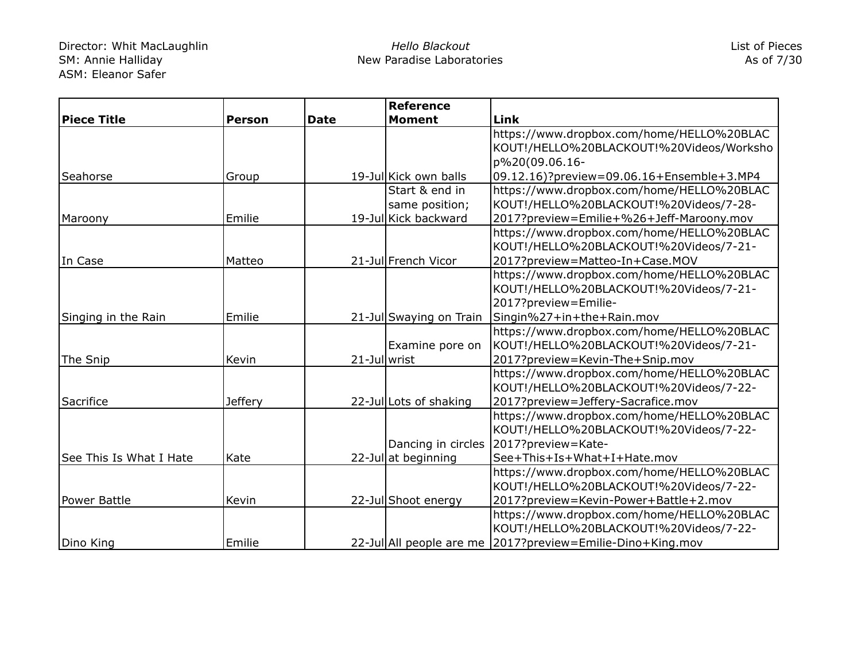|                         |                |              | <b>Reference</b>        |                                                            |
|-------------------------|----------------|--------------|-------------------------|------------------------------------------------------------|
| <b>Piece Title</b>      | <b>Person</b>  | <b>Date</b>  | <b>Moment</b>           | Link                                                       |
|                         |                |              |                         | https://www.dropbox.com/home/HELLO%20BLAC                  |
|                         |                |              |                         | KOUT!/HELLO%20BLACKOUT!%20Videos/Worksho                   |
|                         |                |              |                         | p%20(09.06.16-                                             |
| <b>Seahorse</b>         | Group          |              | 19-Jul Kick own balls   | 09.12.16)?preview=09.06.16+Ensemble+3.MP4                  |
|                         |                |              | Start & end in          | https://www.dropbox.com/home/HELLO%20BLAC                  |
|                         |                |              | same position;          | KOUT!/HELLO%20BLACKOUT!%20Videos/7-28-                     |
| Maroony                 | Emilie         |              | 19-Jul Kick backward    | 2017?preview=Emilie+%26+Jeff-Maroony.mov                   |
|                         |                |              |                         | https://www.dropbox.com/home/HELLO%20BLAC                  |
|                         |                |              |                         | KOUT!/HELLO%20BLACKOUT!%20Videos/7-21-                     |
| In Case                 | Matteo         |              | 21-Jul French Vicor     | 2017?preview=Matteo-In+Case.MOV                            |
|                         |                |              |                         | https://www.dropbox.com/home/HELLO%20BLAC                  |
|                         |                |              |                         | KOUT!/HELLO%20BLACKOUT!%20Videos/7-21-                     |
|                         |                |              |                         | 2017?preview=Emilie-                                       |
| Singing in the Rain     | Emilie         |              | 21-Jul Swaying on Train | Singin%27+in+the+Rain.mov                                  |
|                         |                |              |                         | https://www.dropbox.com/home/HELLO%20BLAC                  |
|                         |                |              | Examine pore on         | KOUT!/HELLO%20BLACKOUT!%20Videos/7-21-                     |
| The Snip                | Kevin          | 21-Jul wrist |                         | 2017?preview=Kevin-The+Snip.mov                            |
|                         |                |              |                         | https://www.dropbox.com/home/HELLO%20BLAC                  |
|                         |                |              |                         | KOUT!/HELLO%20BLACKOUT!%20Videos/7-22-                     |
| Sacrifice               | <b>Jeffery</b> |              | 22-Jul Lots of shaking  | 2017?preview=Jeffery-Sacrafice.mov                         |
|                         |                |              |                         | https://www.dropbox.com/home/HELLO%20BLAC                  |
|                         |                |              |                         | KOUT!/HELLO%20BLACKOUT!%20Videos/7-22-                     |
|                         |                |              |                         | Dancing in circles 2017?preview=Kate-                      |
| See This Is What I Hate | Kate           |              | 22-Jul at beginning     | See+This+Is+What+I+Hate.mov                                |
|                         |                |              |                         | https://www.dropbox.com/home/HELLO%20BLAC                  |
|                         |                |              |                         | KOUT!/HELLO%20BLACKOUT!%20Videos/7-22-                     |
| Power Battle            | Kevin          |              | 22-Jul Shoot energy     | 2017?preview=Kevin-Power+Battle+2.mov                      |
|                         |                |              |                         | https://www.dropbox.com/home/HELLO%20BLAC                  |
|                         |                |              |                         | KOUT!/HELLO%20BLACKOUT!%20Videos/7-22-                     |
| Dino King               | Emilie         |              |                         | 22-Jul All people are me 2017?preview=Emilie-Dino+King.mov |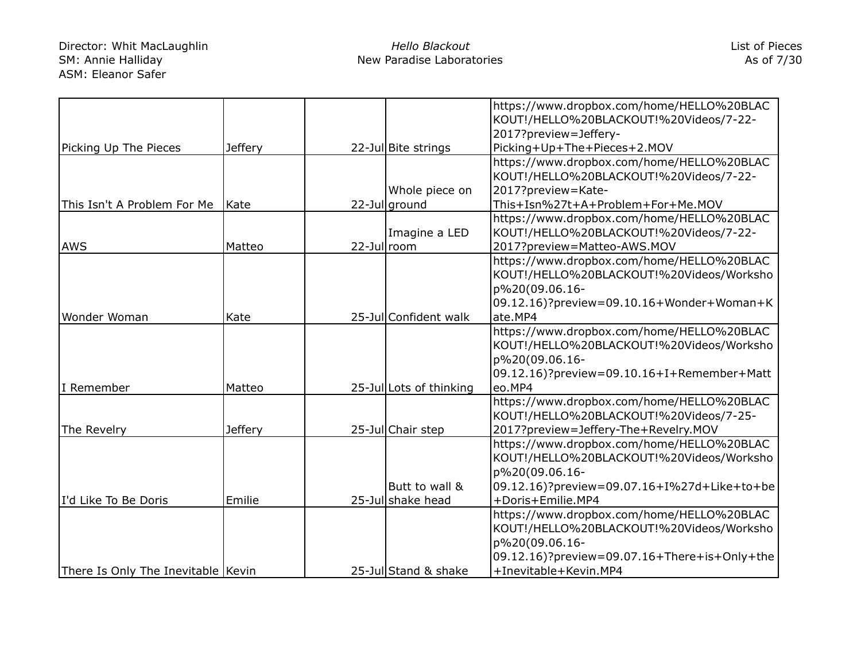## Director: Whit MacLaughlin SM: Annie Halliday ASM: Eleanor Safer

|                                    |                |             |                         | https://www.dropbox.com/home/HELLO%20BLAC    |
|------------------------------------|----------------|-------------|-------------------------|----------------------------------------------|
|                                    |                |             |                         | KOUT!/HELLO%20BLACKOUT!%20Videos/7-22-       |
|                                    |                |             |                         | 2017?preview=Jeffery-                        |
| Picking Up The Pieces              | <b>Jeffery</b> |             | 22-Jul Bite strings     | Picking+Up+The+Pieces+2.MOV                  |
|                                    |                |             |                         | https://www.dropbox.com/home/HELLO%20BLAC    |
|                                    |                |             |                         | KOUT!/HELLO%20BLACKOUT!%20Videos/7-22-       |
|                                    |                |             | Whole piece on          | 2017?preview=Kate-                           |
| This Isn't A Problem For Me        | Kate           |             | 22-Jul ground           | This+Isn%27t+A+Problem+For+Me.MOV            |
|                                    |                |             |                         | https://www.dropbox.com/home/HELLO%20BLAC    |
|                                    |                |             | Imagine a LED           | KOUT!/HELLO%20BLACKOUT!%20Videos/7-22-       |
| <b>AWS</b>                         | Matteo         | 22-Jullroom |                         | 2017?preview=Matteo-AWS.MOV                  |
|                                    |                |             |                         | https://www.dropbox.com/home/HELLO%20BLAC    |
|                                    |                |             |                         | KOUT!/HELLO%20BLACKOUT!%20Videos/Worksho     |
|                                    |                |             |                         | p%20(09.06.16-                               |
|                                    |                |             |                         | 09.12.16)?preview=09.10.16+Wonder+Woman+K    |
| Wonder Woman                       | Kate           |             | 25-Jul Confident walk   | ate.MP4                                      |
|                                    |                |             |                         | https://www.dropbox.com/home/HELLO%20BLAC    |
|                                    |                |             |                         | KOUT!/HELLO%20BLACKOUT!%20Videos/Worksho     |
|                                    |                |             |                         | p%20(09.06.16-                               |
|                                    |                |             |                         | 09.12.16)?preview=09.10.16+I+Remember+Matt   |
| I Remember                         | Matteo         |             | 25-Jul Lots of thinking | eo.MP4                                       |
|                                    |                |             |                         | https://www.dropbox.com/home/HELLO%20BLAC    |
|                                    |                |             |                         | KOUT!/HELLO%20BLACKOUT!%20Videos/7-25-       |
| The Revelry                        | <b>Jeffery</b> |             | 25-Jul Chair step       | 2017?preview=Jeffery-The+Revelry.MOV         |
|                                    |                |             |                         | https://www.dropbox.com/home/HELLO%20BLAC    |
|                                    |                |             |                         | KOUT!/HELLO%20BLACKOUT!%20Videos/Worksho     |
|                                    |                |             |                         | p%20(09.06.16-                               |
|                                    |                |             | Butt to wall &          | 09.12.16)?preview=09.07.16+I%27d+Like+to+be  |
| I'd Like To Be Doris               | Emilie         |             | 25-Jul shake head       | +Doris+Emilie.MP4                            |
|                                    |                |             |                         | https://www.dropbox.com/home/HELLO%20BLAC    |
|                                    |                |             |                         | KOUT!/HELLO%20BLACKOUT!%20Videos/Worksho     |
|                                    |                |             |                         | p%20(09.06.16-                               |
|                                    |                |             |                         | 09.12.16)?preview=09.07.16+There+is+Only+the |
| There Is Only The Inevitable Kevin |                |             | 25-Jul Stand & shake    | +Inevitable+Kevin.MP4                        |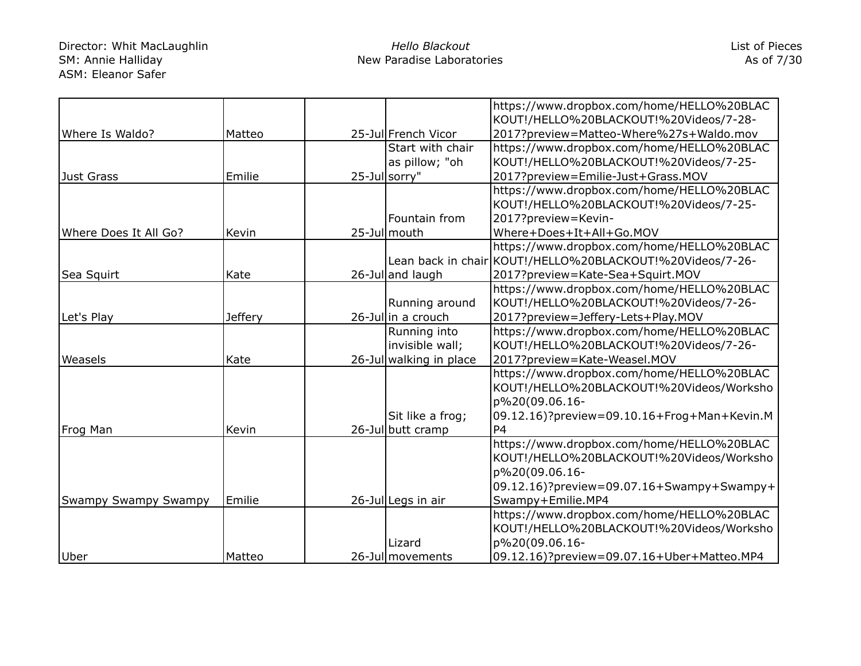## Director: Whit MacLaughlin SM: Annie Halliday ASM: Eleanor Safer

|                       |                |                         | https://www.dropbox.com/home/HELLO%20BLAC                 |
|-----------------------|----------------|-------------------------|-----------------------------------------------------------|
|                       |                |                         | KOUT!/HELLO%20BLACKOUT!%20Videos/7-28-                    |
| Where Is Waldo?       | Matteo         | 25-Jul French Vicor     | 2017?preview=Matteo-Where%27s+Waldo.mov                   |
|                       |                | Start with chair        | https://www.dropbox.com/home/HELLO%20BLAC                 |
|                       |                | as pillow; "oh          | KOUT!/HELLO%20BLACKOUT!%20Videos/7-25-                    |
| Just Grass            | Emilie         | 25-Jul sorry"           | 2017?preview=Emilie-Just+Grass.MOV                        |
|                       |                |                         | https://www.dropbox.com/home/HELLO%20BLAC                 |
|                       |                |                         | KOUT!/HELLO%20BLACKOUT!%20Videos/7-25-                    |
|                       |                | Fountain from           | 2017?preview=Kevin-                                       |
| Where Does It All Go? | Kevin          | 25-Jul mouth            | Where+Does+It+All+Go.MOV                                  |
|                       |                |                         | https://www.dropbox.com/home/HELLO%20BLAC                 |
|                       |                |                         | Lean back in chair KOUT!/HELLO%20BLACKOUT!%20Videos/7-26- |
| Sea Squirt            | Kate           | 26-Jul and laugh        | 2017?preview=Kate-Sea+Squirt.MOV                          |
|                       |                |                         | https://www.dropbox.com/home/HELLO%20BLAC                 |
|                       |                | Running around          | KOUT!/HELLO%20BLACKOUT!%20Videos/7-26-                    |
| Let's Play            | <b>Jeffery</b> | 26-Jullin a crouch      | 2017?preview=Jeffery-Lets+Play.MOV                        |
|                       |                | Running into            | https://www.dropbox.com/home/HELLO%20BLAC                 |
|                       |                | invisible wall;         | KOUT!/HELLO%20BLACKOUT!%20Videos/7-26-                    |
| Weasels               | Kate           | 26-Jul walking in place | 2017?preview=Kate-Weasel.MOV                              |
|                       |                |                         | https://www.dropbox.com/home/HELLO%20BLAC                 |
|                       |                |                         | KOUT!/HELLO%20BLACKOUT!%20Videos/Worksho                  |
|                       |                |                         | p%20(09.06.16-                                            |
|                       |                | Sit like a frog;        | 09.12.16)?preview=09.10.16+Frog+Man+Kevin.M               |
| Frog Man              | Kevin          | 26-Jul butt cramp       | P <sub>4</sub>                                            |
|                       |                |                         | https://www.dropbox.com/home/HELLO%20BLAC                 |
|                       |                |                         | KOUT!/HELLO%20BLACKOUT!%20Videos/Worksho                  |
|                       |                |                         | p%20(09.06.16-                                            |
|                       |                |                         | 09.12.16)?preview=09.07.16+Swampy+Swampy+                 |
| Swampy Swampy Swampy  | Emilie         | 26-Jul Legs in air      | Swampy+Emilie.MP4                                         |
|                       |                |                         | https://www.dropbox.com/home/HELLO%20BLAC                 |
|                       |                |                         | KOUT!/HELLO%20BLACKOUT!%20Videos/Worksho                  |
|                       |                | Lizard                  | p%20(09.06.16-                                            |
| Uber                  | Matteo         | 26-Jul movements        | 09.12.16)?preview=09.07.16+Uber+Matteo.MP4                |